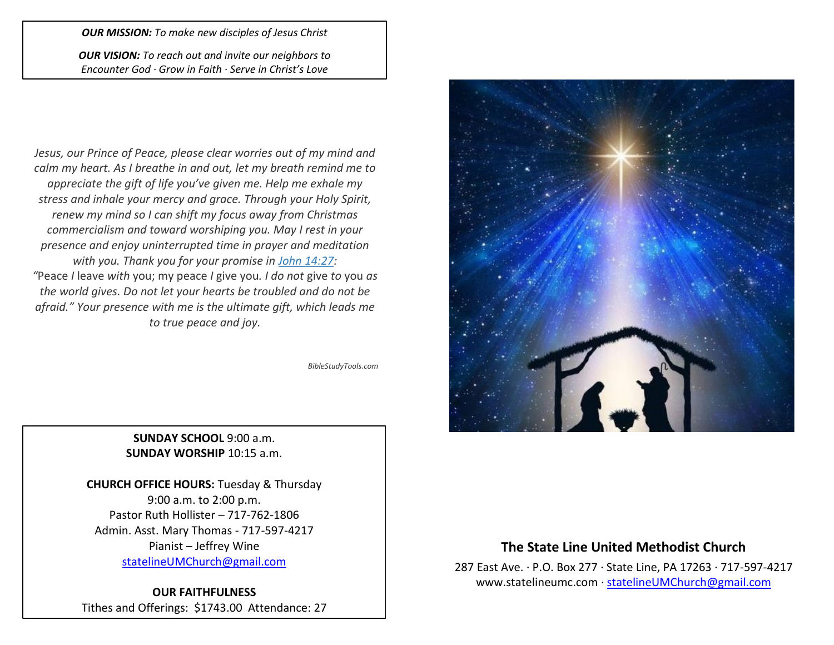#### *OUR MISSION: To make new disciples of Jesus Christ*

*OUR VISION: To reach out and invite our neighbors to Encounter God · Grow in Faith · Serve in Christ's Love*

*Jesus, our Prince of Peace, please clear worries out of my mind and calm my heart. As I breathe in and out, let my breath remind me to appreciate the gift of life you've given me. Help me exhale my stress and inhale your mercy and grace. Through your Holy Spirit, renew my mind so I can shift my focus away from Christmas commercialism and toward worshiping you. May I rest in your presence and enjoy uninterrupted time in prayer and meditation with you. Thank you for your promise in [John 14:27:](https://www.biblestudytools.com/john/14-27.html) "*Peace *I* leave *with* you; my peace *I* give you*. I do not* give *to* you *as the world gives. Do not let your hearts be troubled and do not be afraid." Your presence with me is the ultimate gift, which leads me to true peace and joy.*

*BibleStudyTools.com*

### **SUNDAY SCHOOL** 9:00 a.m. **SUNDAY WORSHIP** 10:15 a.m.

**CHURCH OFFICE HOURS:** Tuesday & Thursday 9:00 a.m. to 2:00 p.m. Pastor Ruth Hollister – 717-762-1806 Admin. Asst. Mary Thomas - 717-597-4217 Pianist – Jeffrey Wine [statelineUMChurch@gmail.com](mailto:statelineUMChurch@gmail.com)

**OUR FAITHFULNESS** Tithes and Offerings: \$1743.00 Attendance: 27



## **The State Line United Methodist Church**

287 East Ave. · P.O. Box 277 · State Line, PA 17263 · 717-597-4217 [www.statelineumc.com](http://www.statelineumc.com/) · [statelineUMChurch@gmail.com](mailto:statelineUMChurch@gmail.com)